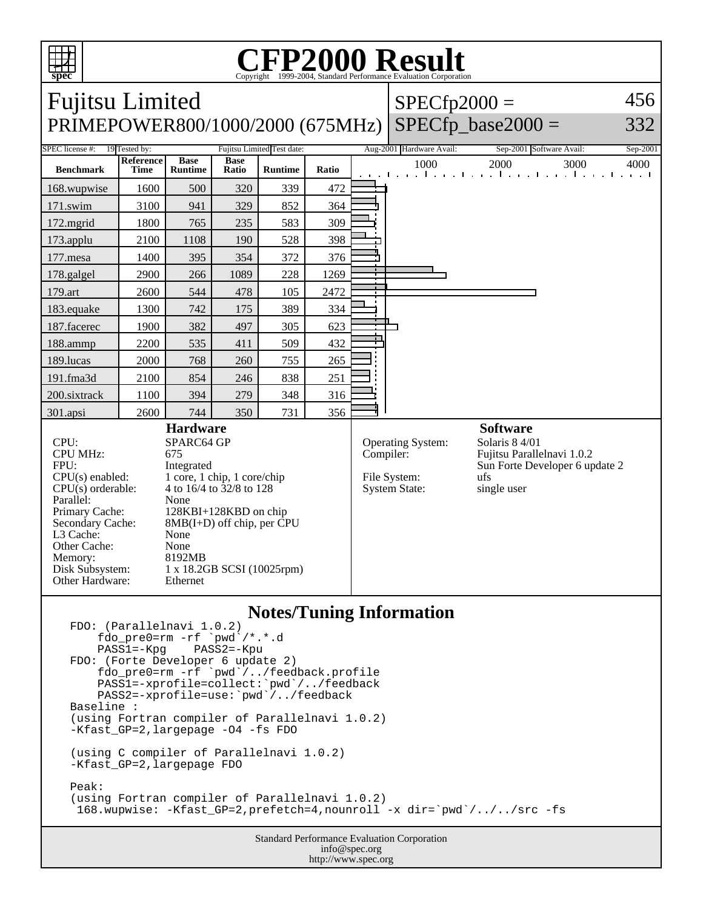

## Copyright ©1999-2004, Standard Performance Evaluation Corporation

| <b>Fujitsu Limited</b>                                                                                                                                                                                                                                                                                                                                                                                                                                           |                   |                               |                      |                            |           |                                                           | $SPECfp2000 =$                                                                                                          | 456                                                                       |          |
|------------------------------------------------------------------------------------------------------------------------------------------------------------------------------------------------------------------------------------------------------------------------------------------------------------------------------------------------------------------------------------------------------------------------------------------------------------------|-------------------|-------------------------------|----------------------|----------------------------|-----------|-----------------------------------------------------------|-------------------------------------------------------------------------------------------------------------------------|---------------------------------------------------------------------------|----------|
| PRIMEPOWER800/1000/2000 (675MHz)                                                                                                                                                                                                                                                                                                                                                                                                                                 |                   |                               |                      |                            |           |                                                           |                                                                                                                         | $SPECfp\_base2000 =$                                                      | 332      |
| SPEC license #:                                                                                                                                                                                                                                                                                                                                                                                                                                                  | 19 Tested by:     |                               |                      | Fujitsu Limited Test date: |           |                                                           | Aug-2001 Hardware Avail:                                                                                                | Sep-2001 Software Avail:                                                  | Sep-2001 |
| <b>Benchmark</b>                                                                                                                                                                                                                                                                                                                                                                                                                                                 | Reference<br>Time | <b>Base</b><br><b>Runtime</b> | <b>Base</b><br>Ratio | <b>Runtime</b>             | Ratio     |                                                           | 1000                                                                                                                    | 2000<br>3000<br>and the collection of the collection of the collection of | 4000     |
| 168.wupwise                                                                                                                                                                                                                                                                                                                                                                                                                                                      | 1600              | 500                           | 320                  | 339                        | 472       |                                                           |                                                                                                                         |                                                                           |          |
| 171.swim                                                                                                                                                                                                                                                                                                                                                                                                                                                         | 3100              | 941                           | 329                  | 852                        | 364       |                                                           |                                                                                                                         |                                                                           |          |
| 172.mgrid                                                                                                                                                                                                                                                                                                                                                                                                                                                        | 1800              | 765                           | 235                  | 583                        | 309       |                                                           |                                                                                                                         |                                                                           |          |
| 173.applu                                                                                                                                                                                                                                                                                                                                                                                                                                                        | 2100              | 1108                          | 190                  | 528                        | 398       |                                                           |                                                                                                                         |                                                                           |          |
| 177.mesa                                                                                                                                                                                                                                                                                                                                                                                                                                                         | 1400              | 395                           | 354                  | 372                        | 376       |                                                           |                                                                                                                         |                                                                           |          |
| 178.galgel                                                                                                                                                                                                                                                                                                                                                                                                                                                       | 2900              | 266                           | 1089                 | 228                        | 1269      |                                                           |                                                                                                                         |                                                                           |          |
| 179.art                                                                                                                                                                                                                                                                                                                                                                                                                                                          | 2600              | 544                           | 478                  | 105                        | 2472      |                                                           |                                                                                                                         |                                                                           |          |
| 183.equake                                                                                                                                                                                                                                                                                                                                                                                                                                                       | 1300              | 742                           | 175                  | 389                        | 334       |                                                           |                                                                                                                         |                                                                           |          |
| 187.facerec                                                                                                                                                                                                                                                                                                                                                                                                                                                      | 1900              | 382                           | 497                  | 305                        | 623       |                                                           |                                                                                                                         |                                                                           |          |
| 188.ammp                                                                                                                                                                                                                                                                                                                                                                                                                                                         | 2200              | 535                           | 411                  | 509                        | 432       |                                                           |                                                                                                                         |                                                                           |          |
| 189.lucas                                                                                                                                                                                                                                                                                                                                                                                                                                                        | 2000              | 768                           | 260                  | 755                        | 265       |                                                           |                                                                                                                         |                                                                           |          |
| 191.fma3d                                                                                                                                                                                                                                                                                                                                                                                                                                                        | 2100              | 854                           | 246                  | 838                        | 251       |                                                           |                                                                                                                         |                                                                           |          |
| 200.sixtrack                                                                                                                                                                                                                                                                                                                                                                                                                                                     | 1100              | 394                           | 279                  | 348                        | 316       |                                                           |                                                                                                                         |                                                                           |          |
| 301.apsi                                                                                                                                                                                                                                                                                                                                                                                                                                                         | 2600              | 744                           | 350                  | 731                        | 356       |                                                           |                                                                                                                         |                                                                           |          |
| <b>Hardware</b><br>SPARC64 GP<br>CPU:<br><b>CPU MHz:</b><br>675<br>FPU:<br>Integrated<br>CPU(s) enabled:<br>1 core, 1 chip, 1 core/chip<br>$CPU(s)$ orderable:<br>4 to 16/4 to 32/8 to 128<br>Parallel:<br>None<br>Primary Cache:<br>128KBI+128KBD on chip<br>$8MB(I+D)$ off chip, per CPU<br>Secondary Cache:<br>L3 Cache:<br>None<br>Other Cache:<br>None<br>Memory:<br>8192MB<br>Disk Subsystem:<br>1 x 18.2GB SCSI (10025rpm)<br>Other Hardware:<br>Ethernet |                   |                               |                      |                            | Compiler: | Operating System:<br>File System:<br><b>System State:</b> | <b>Software</b><br>Solaris 8 4/01<br>Fujitsu Parallelnavi 1.0.2<br>Sun Forte Developer 6 update 2<br>ufs<br>single user |                                                                           |          |
|                                                                                                                                                                                                                                                                                                                                                                                                                                                                  |                   |                               |                      |                            |           |                                                           |                                                                                                                         |                                                                           |          |

## **Notes/Tuning Information**

```
FDO: (Parallelnavi 1.0.2)
    fdo_pre0=rm -rf `pwd<sup>'</sup>/*.*.d<br>PASS1=-Kpg PASS2=-Kpu
    PASS1=-KpgFDO: (Forte Developer 6 update 2)
 fdo_pre0=rm -rf `pwd`/../feedback.profile
 PASS1=-xprofile=collect:`pwd`/../feedback
 PASS2=-xprofile=use:`pwd`/../feedback
Baseline :
(using Fortran compiler of Parallelnavi 1.0.2)
-Kfast_GP=2,largepage -O4 -fs FDO
(using C compiler of Parallelnavi 1.0.2)
-Kfast_GP=2,largepage FDO
Peak:
(using Fortran compiler of Parallelnavi 1.0.2)
  168.wupwise: -Kfast_GP=2,prefetch=4,nounroll -x dir=`pwd`/../../src -fs
```
Standard Performance Evaluation Corporation info@spec.org http://www.spec.org